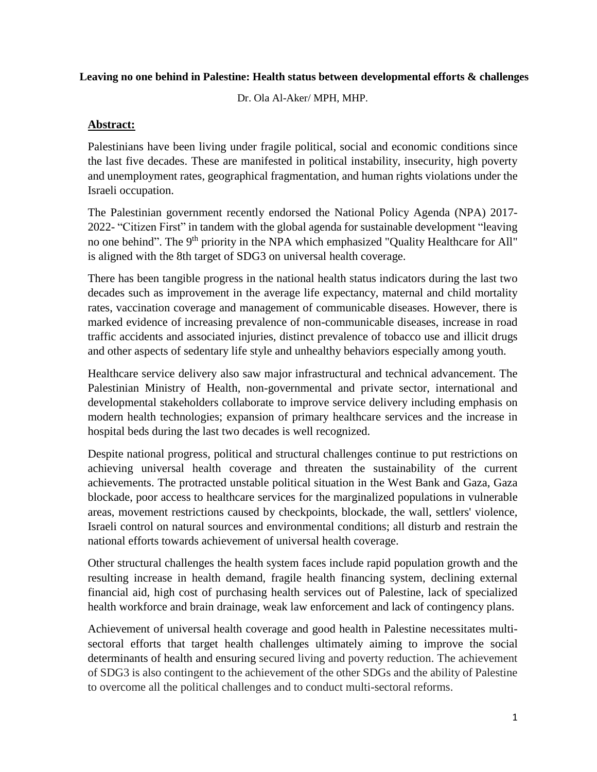#### **Leaving no one behind in Palestine: Health status between developmental efforts & challenges**

Dr. Ola Al-Aker/ MPH, MHP.

#### **Abstract:**

Palestinians have been living under fragile political, social and economic conditions since the last five decades. These are manifested in political instability, insecurity, high poverty and unemployment rates, geographical fragmentation, and human rights violations under the Israeli occupation.

The Palestinian government recently endorsed the National Policy Agenda (NPA) 2017- 2022- "Citizen First" in tandem with the global agenda for sustainable development "leaving no one behind". The 9<sup>th</sup> priority in the NPA which emphasized "Quality Healthcare for All" is aligned with the 8th target of SDG3 on universal health coverage.

There has been tangible progress in the national health status indicators during the last two decades such as improvement in the average life expectancy, maternal and child mortality rates, vaccination coverage and management of communicable diseases. However, there is marked evidence of increasing prevalence of non-communicable diseases, increase in road traffic accidents and associated injuries, distinct prevalence of tobacco use and illicit drugs and other aspects of sedentary life style and unhealthy behaviors especially among youth.

Healthcare service delivery also saw major infrastructural and technical advancement. The Palestinian Ministry of Health, non-governmental and private sector, international and developmental stakeholders collaborate to improve service delivery including emphasis on modern health technologies; expansion of primary healthcare services and the increase in hospital beds during the last two decades is well recognized.

Despite national progress, political and structural challenges continue to put restrictions on achieving universal health coverage and threaten the sustainability of the current achievements. The protracted unstable political situation in the West Bank and Gaza, Gaza blockade, poor access to healthcare services for the marginalized populations in vulnerable areas, movement restrictions caused by checkpoints, blockade, the wall, settlers' violence, Israeli control on natural sources and environmental conditions; all disturb and restrain the national efforts towards achievement of universal health coverage.

Other structural challenges the health system faces include rapid population growth and the resulting increase in health demand, fragile health financing system, declining external financial aid, high cost of purchasing health services out of Palestine, lack of specialized health workforce and brain drainage, weak law enforcement and lack of contingency plans.

Achievement of universal health coverage and good health in Palestine necessitates multisectoral efforts that target health challenges ultimately aiming to improve the social determinants of health and ensuring secured living and poverty reduction. The achievement of SDG3 is also contingent to the achievement of the other SDGs and the ability of Palestine to overcome all the political challenges and to conduct multi-sectoral reforms.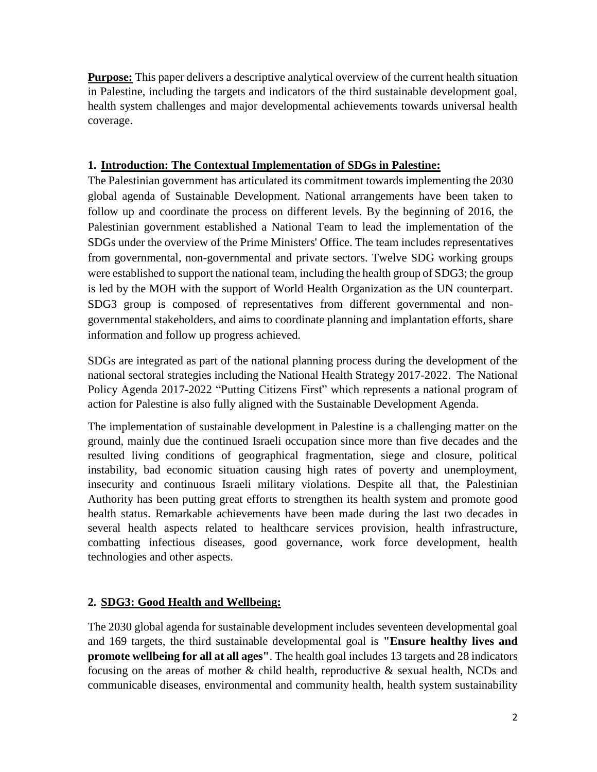**Purpose:** This paper delivers a descriptive analytical overview of the current health situation in Palestine, including the targets and indicators of the third sustainable development goal, health system challenges and major developmental achievements towards universal health coverage.

## **1. Introduction: The Contextual Implementation of SDGs in Palestine:**

The Palestinian government has articulated its commitment towards implementing the 2030 global agenda of Sustainable Development. National arrangements have been taken to follow up and coordinate the process on different levels. By the beginning of 2016, the Palestinian government established a National Team to lead the implementation of the SDGs under the overview of the Prime Ministers' Office. The team includes representatives from governmental, non-governmental and private sectors. Twelve SDG working groups were established to support the national team, including the health group of SDG3; the group is led by the MOH with the support of World Health Organization as the UN counterpart. SDG3 group is composed of representatives from different governmental and nongovernmental stakeholders, and aims to coordinate planning and implantation efforts, share information and follow up progress achieved.

SDGs are integrated as part of the national planning process during the development of the national sectoral strategies including the National Health Strategy 2017-2022. The National Policy Agenda 2017-2022 "Putting Citizens First" which represents a national program of action for Palestine is also fully aligned with the Sustainable Development Agenda.

The implementation of sustainable development in Palestine is a challenging matter on the ground, mainly due the continued Israeli occupation since more than five decades and the resulted living conditions of geographical fragmentation, siege and closure, political instability, bad economic situation causing high rates of poverty and unemployment, insecurity and continuous Israeli military violations. Despite all that, the Palestinian Authority has been putting great efforts to strengthen its health system and promote good health status. Remarkable achievements have been made during the last two decades in several health aspects related to healthcare services provision, health infrastructure, combatting infectious diseases, good governance, work force development, health technologies and other aspects.

# **2. SDG3: Good Health and Wellbeing:**

The 2030 global agenda for sustainable development includes seventeen developmental goal and 169 targets, the third sustainable developmental goal is **"Ensure healthy lives and promote wellbeing for all at all ages"**. The health goal includes 13 targets and 28 indicators focusing on the areas of mother  $\&$  child health, reproductive  $\&$  sexual health, NCDs and communicable diseases, environmental and community health, health system sustainability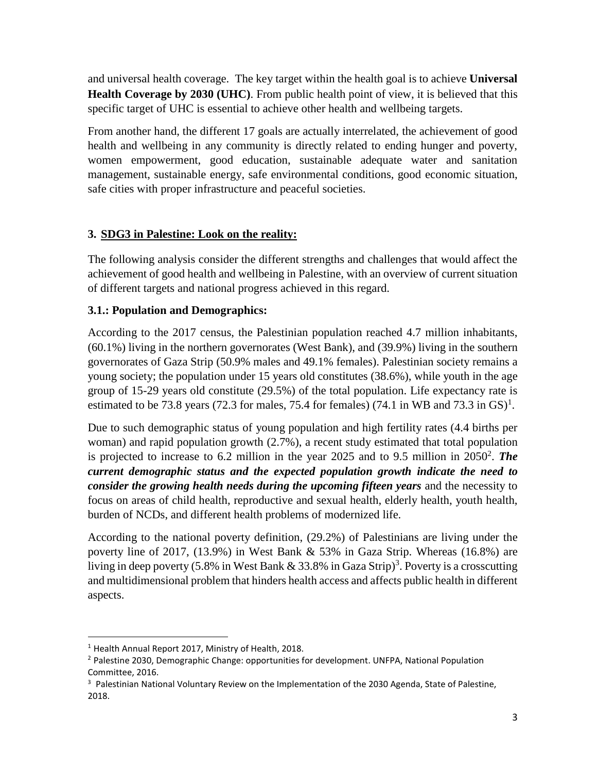and universal health coverage. The key target within the health goal is to achieve **Universal Health Coverage by 2030 (UHC)**. From public health point of view, it is believed that this specific target of UHC is essential to achieve other health and wellbeing targets.

From another hand, the different 17 goals are actually interrelated, the achievement of good health and wellbeing in any community is directly related to ending hunger and poverty, women empowerment, good education, sustainable adequate water and sanitation management, sustainable energy, safe environmental conditions, good economic situation, safe cities with proper infrastructure and peaceful societies.

#### **3. SDG3 in Palestine: Look on the reality:**

The following analysis consider the different strengths and challenges that would affect the achievement of good health and wellbeing in Palestine, with an overview of current situation of different targets and national progress achieved in this regard.

## **3.1.: Population and Demographics:**

According to the 2017 census, the Palestinian population reached 4.7 million inhabitants, (60.1%) living in the northern governorates (West Bank), and (39.9%) living in the southern governorates of Gaza Strip (50.9% males and 49.1% females). Palestinian society remains a young society; the population under 15 years old constitutes (38.6%), while youth in the age group of 15-29 years old constitute (29.5%) of the total population. Life expectancy rate is estimated to be 73.8 years (72.3 for males, 75.4 for females) (74.1 in WB and 73.3 in GS)<sup>1</sup>.

Due to such demographic status of young population and high fertility rates (4.4 births per woman) and rapid population growth (2.7%), a recent study estimated that total population is projected to increase to 6.2 million in the year 2025 and to 9.5 million in 2050<sup>2</sup>. The *current demographic status and the expected population growth indicate the need to consider the growing health needs during the upcoming fifteen years* and the necessity to focus on areas of child health, reproductive and sexual health, elderly health, youth health, burden of NCDs, and different health problems of modernized life.

According to the national poverty definition, (29.2%) of Palestinians are living under the poverty line of 2017, (13.9%) in West Bank & 53% in Gaza Strip. Whereas (16.8%) are living in deep poverty (5.8% in West Bank  $& 33.8\%$  in Gaza Strip)<sup>3</sup>. Poverty is a crosscutting and multidimensional problem that hinders health access and affects public health in different aspects.

l

<sup>&</sup>lt;sup>1</sup> Health Annual Report 2017, Ministry of Health, 2018.

<sup>&</sup>lt;sup>2</sup> Palestine 2030, Demographic Change: opportunities for development. UNFPA, National Population Committee, 2016.

 $3$  Palestinian National Voluntary Review on the Implementation of the 2030 Agenda, State of Palestine, 2018.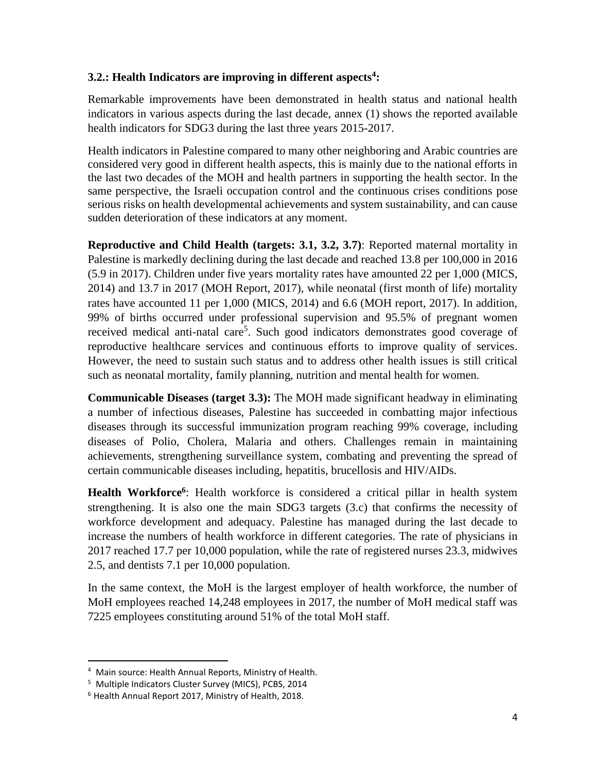### **3.2.: Health Indicators are improving in different aspects<sup>4</sup> :**

Remarkable improvements have been demonstrated in health status and national health indicators in various aspects during the last decade, annex (1) shows the reported available health indicators for SDG3 during the last three years 2015-2017.

Health indicators in Palestine compared to many other neighboring and Arabic countries are considered very good in different health aspects, this is mainly due to the national efforts in the last two decades of the MOH and health partners in supporting the health sector. In the same perspective, the Israeli occupation control and the continuous crises conditions pose serious risks on health developmental achievements and system sustainability, and can cause sudden deterioration of these indicators at any moment.

**Reproductive and Child Health (targets: 3.1, 3.2, 3.7)**: Reported maternal mortality in Palestine is markedly declining during the last decade and reached 13.8 per 100,000 in 2016 (5.9 in 2017). Children under five years mortality rates have amounted 22 per 1,000 (MICS, 2014) and 13.7 in 2017 (MOH Report, 2017), while neonatal (first month of life) mortality rates have accounted 11 per 1,000 (MICS, 2014) and 6.6 (MOH report, 2017). In addition, 99% of births occurred under professional supervision and 95.5% of pregnant women received medical anti-natal care<sup>5</sup>. Such good indicators demonstrates good coverage of reproductive healthcare services and continuous efforts to improve quality of services. However, the need to sustain such status and to address other health issues is still critical such as neonatal mortality, family planning, nutrition and mental health for women.

**Communicable Diseases (target 3.3):** The MOH made significant headway in eliminating a number of infectious diseases, Palestine has succeeded in combatting major infectious diseases through its successful immunization program reaching 99% coverage, including diseases of Polio, Cholera, Malaria and others. Challenges remain in maintaining achievements, strengthening surveillance system, combating and preventing the spread of certain communicable diseases including, hepatitis, brucellosis and HIV/AIDs.

Health Workforce<sup>6</sup>: Health workforce is considered a critical pillar in health system strengthening. It is also one the main SDG3 targets (3.c) that confirms the necessity of workforce development and adequacy. Palestine has managed during the last decade to increase the numbers of health workforce in different categories. The rate of physicians in 2017 reached 17.7 per 10,000 population, while the rate of registered nurses 23.3, midwives 2.5, and dentists 7.1 per 10,000 population.

In the same context, the MoH is the largest employer of health workforce, the number of MoH employees reached 14,248 employees in 2017, the number of MoH medical staff was 7225 employees constituting around 51% of the total MoH staff.

 $\overline{\phantom{a}}$ 

<sup>4</sup> Main source: Health Annual Reports, Ministry of Health.

<sup>&</sup>lt;sup>5</sup> Multiple Indicators Cluster Survey (MICS), PCBS, 2014

<sup>6</sup> Health Annual Report 2017, Ministry of Health, 2018.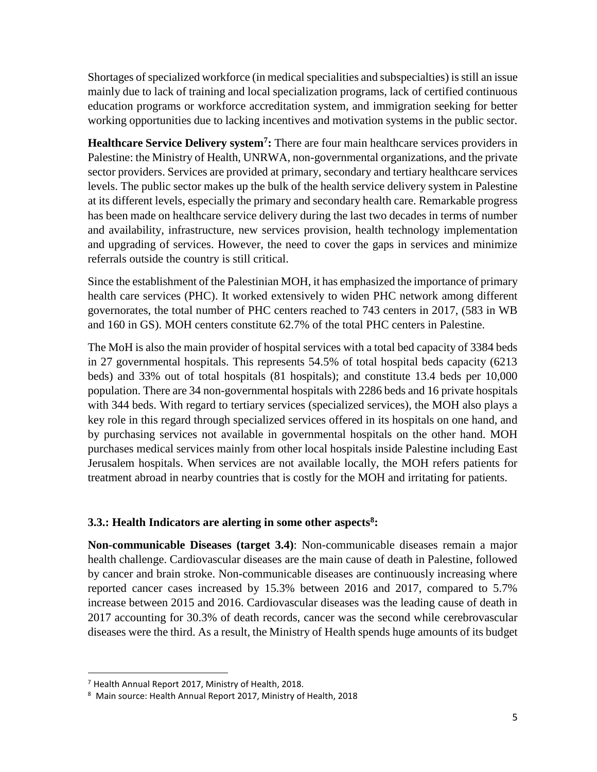Shortages of specialized workforce (in medical specialities and subspecialties) is still an issue mainly due to lack of training and local specialization programs, lack of certified continuous education programs or workforce accreditation system, and immigration seeking for better working opportunities due to lacking incentives and motivation systems in the public sector.

**Healthcare Service Delivery system<sup>7</sup> :** There are four main healthcare services providers in Palestine: the Ministry of Health, UNRWA, non-governmental organizations, and the private sector providers. Services are provided at primary, secondary and tertiary healthcare services levels. The public sector makes up the bulk of the health service delivery system in Palestine at its different levels, especially the primary and secondary health care. Remarkable progress has been made on healthcare service delivery during the last two decades in terms of number and availability, infrastructure, new services provision, health technology implementation and upgrading of services. However, the need to cover the gaps in services and minimize referrals outside the country is still critical.

Since the establishment of the Palestinian MOH, it has emphasized the importance of primary health care services (PHC). It worked extensively to widen PHC network among different governorates, the total number of PHC centers reached to 743 centers in 2017, (583 in WB and 160 in GS). MOH centers constitute 62.7% of the total PHC centers in Palestine.

The MoH is also the main provider of hospital services with a total bed capacity of 3384 beds in 27 governmental hospitals. This represents 54.5% of total hospital beds capacity (6213 beds) and 33% out of total hospitals (81 hospitals); and constitute 13.4 beds per 10,000 population. There are 34 non-governmental hospitals with 2286 beds and 16 private hospitals with 344 beds. With regard to tertiary services (specialized services), the MOH also plays a key role in this regard through specialized services offered in its hospitals on one hand, and by purchasing services not available in governmental hospitals on the other hand. MOH purchases medical services mainly from other local hospitals inside Palestine including East Jerusalem hospitals. When services are not available locally, the MOH refers patients for treatment abroad in nearby countries that is costly for the MOH and irritating for patients.

#### **3.3.: Health Indicators are alerting in some other aspects<sup>8</sup> :**

**Non-communicable Diseases (target 3.4)**: Non-communicable diseases remain a major health challenge. Cardiovascular diseases are the main cause of death in Palestine, followed by cancer and brain stroke. Non-communicable diseases are continuously increasing where reported cancer cases increased by 15.3% between 2016 and 2017, compared to 5.7% increase between 2015 and 2016. Cardiovascular diseases was the leading cause of death in 2017 accounting for 30.3% of death records, cancer was the second while cerebrovascular diseases were the third. As a result, the Ministry of Health spends huge amounts of its budget

l

 $7$  Health Annual Report 2017, Ministry of Health, 2018.

<sup>8</sup> Main source: Health Annual Report 2017, Ministry of Health, 2018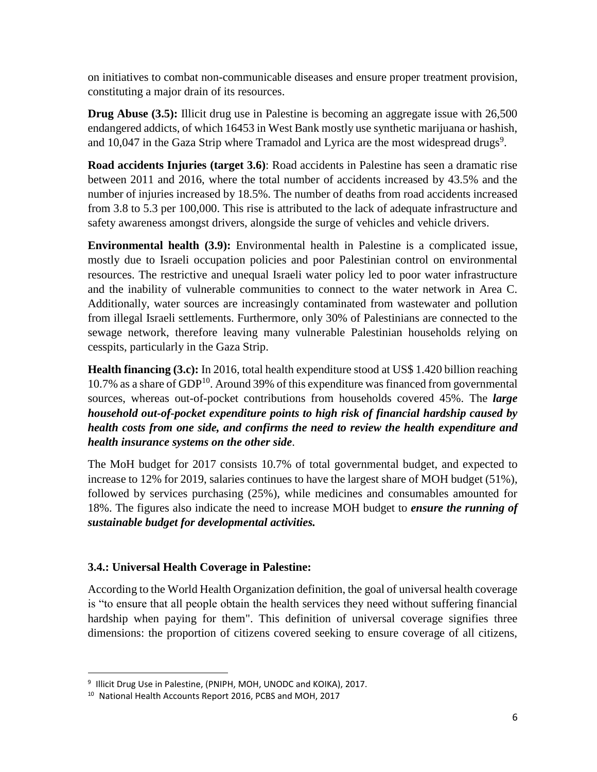on initiatives to combat non-communicable diseases and ensure proper treatment provision, constituting a major drain of its resources.

**Drug Abuse** (3.5): Illicit drug use in Palestine is becoming an aggregate issue with 26,500 endangered addicts, of which 16453 in West Bank mostly use synthetic marijuana or hashish, and  $10,047$  in the Gaza Strip where Tramadol and Lyrica are the most widespread drugs<sup>9</sup>.

**Road accidents Injuries (target 3.6)**: Road accidents in Palestine has seen a dramatic rise between 2011 and 2016, where the total number of accidents increased by 43.5% and the number of injuries increased by 18.5%. The number of deaths from road accidents increased from 3.8 to 5.3 per 100,000. This rise is attributed to the lack of adequate infrastructure and safety awareness amongst drivers, alongside the surge of vehicles and vehicle drivers.

**Environmental health (3.9):** Environmental health in Palestine is a complicated issue, mostly due to Israeli occupation policies and poor Palestinian control on environmental resources. The restrictive and unequal Israeli water policy led to poor water infrastructure and the inability of vulnerable communities to connect to the water network in Area C. Additionally, water sources are increasingly contaminated from wastewater and pollution from illegal Israeli settlements. Furthermore, only 30% of Palestinians are connected to the sewage network, therefore leaving many vulnerable Palestinian households relying on cesspits, particularly in the Gaza Strip.

**Health financing (3.c):** In 2016, total health expenditure stood at US\$ 1.420 billion reaching 10.7% as a share of GDP<sup>10</sup>. Around 39% of this expenditure was financed from governmental sources, whereas out-of-pocket contributions from households covered 45%. The *large household out-of-pocket expenditure points to high risk of financial hardship caused by health costs from one side, and confirms the need to review the health expenditure and health insurance systems on the other side*.

The MoH budget for 2017 consists 10.7% of total governmental budget, and expected to increase to 12% for 2019, salaries continues to have the largest share of MOH budget (51%), followed by services purchasing (25%), while medicines and consumables amounted for 18%. The figures also indicate the need to increase MOH budget to *ensure the running of sustainable budget for developmental activities.* 

# **3.4.: Universal Health Coverage in Palestine:**

According to the World Health Organization definition, the goal of universal health coverage is "to ensure that all people obtain the health services they need without suffering financial hardship when paying for them". This definition of universal coverage signifies three dimensions: the proportion of citizens covered seeking to ensure coverage of all citizens,

l

<sup>&</sup>lt;sup>9</sup> Illicit Drug Use in Palestine, (PNIPH, MOH, UNODC and KOIKA), 2017.

<sup>10</sup> National Health Accounts Report 2016, PCBS and MOH, 2017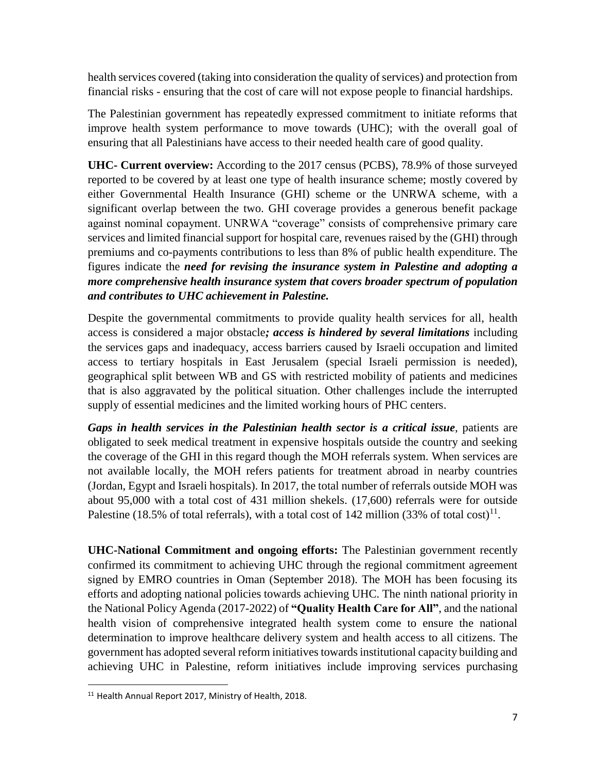health services covered (taking into consideration the quality of services) and protection from financial risks - ensuring that the cost of care will not expose people to financial hardships.

The Palestinian government has repeatedly expressed commitment to initiate reforms that improve health system performance to move towards (UHC); with the overall goal of ensuring that all Palestinians have access to their needed health care of good quality.

**UHC- Current overview:** According to the 2017 census (PCBS), 78.9% of those surveyed reported to be covered by at least one type of health insurance scheme; mostly covered by either Governmental Health Insurance (GHI) scheme or the UNRWA scheme, with a significant overlap between the two. GHI coverage provides a generous benefit package against nominal copayment. UNRWA "coverage" consists of comprehensive primary care services and limited financial support for hospital care, revenues raised by the (GHI) through premiums and co-payments contributions to less than 8% of public health expenditure. The figures indicate the *need for revising the insurance system in Palestine and adopting a more comprehensive health insurance system that covers broader spectrum of population and contributes to UHC achievement in Palestine.*

Despite the governmental commitments to provide quality health services for all, health access is considered a major obstacle*; access is hindered by several limitations* including the services gaps and inadequacy, access barriers caused by Israeli occupation and limited access to tertiary hospitals in East Jerusalem (special Israeli permission is needed), geographical split between WB and GS with restricted mobility of patients and medicines that is also aggravated by the political situation. Other challenges include the interrupted supply of essential medicines and the limited working hours of PHC centers.

*Gaps in health services in the Palestinian health sector is a critical issue*, patients are obligated to seek medical treatment in expensive hospitals outside the country and seeking the coverage of the GHI in this regard though the MOH referrals system. When services are not available locally, the MOH refers patients for treatment abroad in nearby countries (Jordan, Egypt and Israeli hospitals). In 2017, the total number of referrals outside MOH was about 95,000 with a total cost of 431 million shekels. (17,600) referrals were for outside Palestine (18.5% of total referrals), with a total cost of 142 million (33% of total cost)<sup>11</sup>.

**UHC-National Commitment and ongoing efforts:** The Palestinian government recently confirmed its commitment to achieving UHC through the regional commitment agreement signed by EMRO countries in Oman (September 2018). The MOH has been focusing its efforts and adopting national policies towards achieving UHC. The ninth national priority in the National Policy Agenda (2017-2022) of **"Quality Health Care for All"**, and the national health vision of comprehensive integrated health system come to ensure the national determination to improve healthcare delivery system and health access to all citizens. The government has adopted several reform initiatives towards institutional capacity building and achieving UHC in Palestine, reform initiatives include improving services purchasing

 $\overline{\phantom{a}}$ <sup>11</sup> Health Annual Report 2017, Ministry of Health, 2018.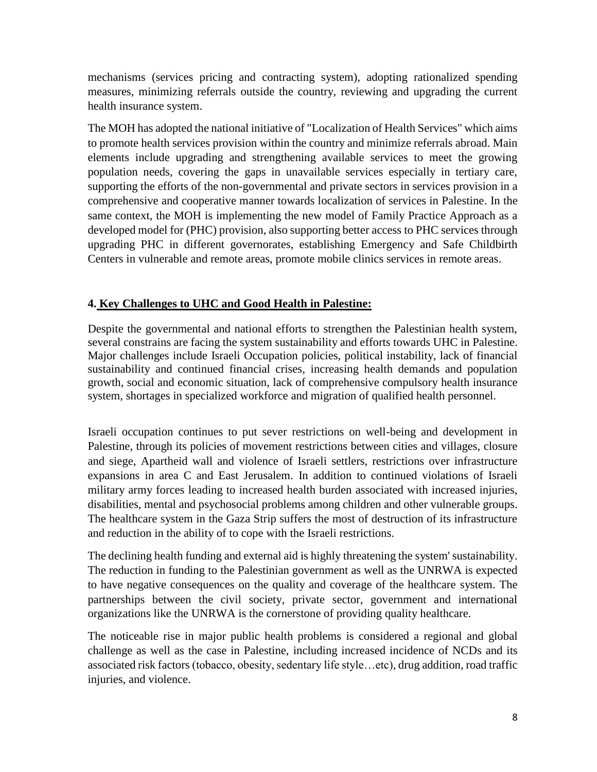mechanisms (services pricing and contracting system), adopting rationalized spending measures, minimizing referrals outside the country, reviewing and upgrading the current health insurance system.

The MOH has adopted the national initiative of "Localization of Health Services" which aims to promote health services provision within the country and minimize referrals abroad. Main elements include upgrading and strengthening available services to meet the growing population needs, covering the gaps in unavailable services especially in tertiary care, supporting the efforts of the non-governmental and private sectors in services provision in a comprehensive and cooperative manner towards localization of services in Palestine. In the same context, the MOH is implementing the new model of Family Practice Approach as a developed model for (PHC) provision, also supporting better access to PHC services through upgrading PHC in different governorates, establishing Emergency and Safe Childbirth Centers in vulnerable and remote areas, promote mobile clinics services in remote areas.

#### **4. Key Challenges to UHC and Good Health in Palestine:**

Despite the governmental and national efforts to strengthen the Palestinian health system, several constrains are facing the system sustainability and efforts towards UHC in Palestine. Major challenges include Israeli Occupation policies, political instability, lack of financial sustainability and continued financial crises, increasing health demands and population growth, social and economic situation, lack of comprehensive compulsory health insurance system, shortages in specialized workforce and migration of qualified health personnel.

Israeli occupation continues to put sever restrictions on well-being and development in Palestine, through its policies of movement restrictions between cities and villages, closure and siege, Apartheid wall and violence of Israeli settlers, restrictions over infrastructure expansions in area C and East Jerusalem. In addition to continued violations of Israeli military army forces leading to increased health burden associated with increased injuries, disabilities, mental and psychosocial problems among children and other vulnerable groups. The healthcare system in the Gaza Strip suffers the most of destruction of its infrastructure and reduction in the ability of to cope with the Israeli restrictions.

The declining health funding and external aid is highly threatening the system' sustainability. The reduction in funding to the Palestinian government as well as the UNRWA is expected to have negative consequences on the quality and coverage of the healthcare system. The partnerships between the civil society, private sector, government and international organizations like the UNRWA is the cornerstone of providing quality healthcare.

The noticeable rise in major public health problems is considered a regional and global challenge as well as the case in Palestine, including increased incidence of NCDs and its associated risk factors (tobacco, obesity, sedentary life style…etc), drug addition, road traffic injuries, and violence.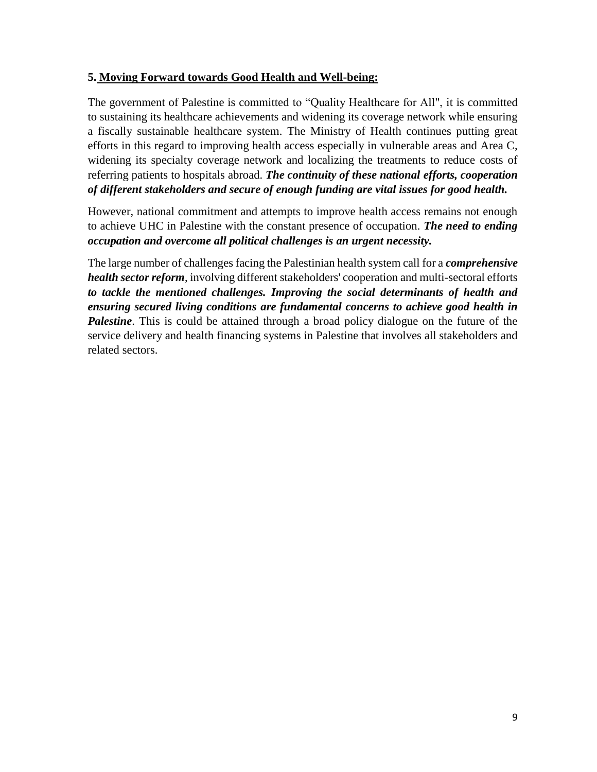## **5. Moving Forward towards Good Health and Well-being:**

The government of Palestine is committed to "Quality Healthcare for All", it is committed to sustaining its healthcare achievements and widening its coverage network while ensuring a fiscally sustainable healthcare system. The Ministry of Health continues putting great efforts in this regard to improving health access especially in vulnerable areas and Area C, widening its specialty coverage network and localizing the treatments to reduce costs of referring patients to hospitals abroad. *The continuity of these national efforts, cooperation of different stakeholders and secure of enough funding are vital issues for good health.*

However, national commitment and attempts to improve health access remains not enough to achieve UHC in Palestine with the constant presence of occupation. *The need to ending occupation and overcome all political challenges is an urgent necessity.* 

The large number of challenges facing the Palestinian health system call for a *comprehensive health sector reform*, involving different stakeholders' cooperation and multi-sectoral efforts *to tackle the mentioned challenges. Improving the social determinants of health and ensuring secured living conditions are fundamental concerns to achieve good health in*  **Palestine**. This is could be attained through a broad policy dialogue on the future of the service delivery and health financing systems in Palestine that involves all stakeholders and related sectors.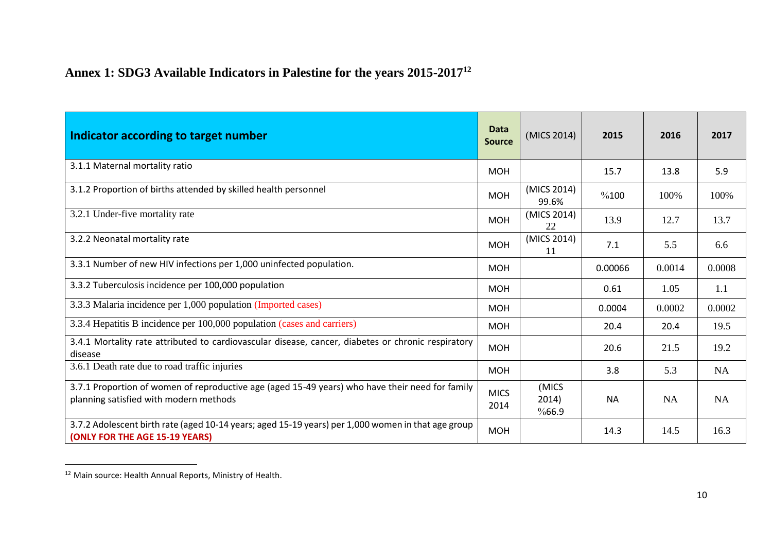# **Annex 1: SDG3 Available Indicators in Palestine for the years 2015-2017<sup>12</sup>**

| Indicator according to target number                                                                                                      | Data<br><b>Source</b> | (MICS 2014)             | 2015      | 2016      | 2017      |
|-------------------------------------------------------------------------------------------------------------------------------------------|-----------------------|-------------------------|-----------|-----------|-----------|
| 3.1.1 Maternal mortality ratio                                                                                                            | <b>MOH</b>            |                         | 15.7      | 13.8      | 5.9       |
| 3.1.2 Proportion of births attended by skilled health personnel                                                                           | <b>MOH</b>            | (MICS 2014)<br>99.6%    | %100      | 100%      | 100%      |
| 3.2.1 Under-five mortality rate                                                                                                           | <b>MOH</b>            | (MICS 2014)<br>22       | 13.9      | 12.7      | 13.7      |
| 3.2.2 Neonatal mortality rate                                                                                                             | <b>MOH</b>            | (MICS 2014)<br>11       | 7.1       | 5.5       | 6.6       |
| 3.3.1 Number of new HIV infections per 1,000 uninfected population.                                                                       | <b>MOH</b>            |                         | 0.00066   | 0.0014    | 0.0008    |
| 3.3.2 Tuberculosis incidence per 100,000 population                                                                                       | <b>MOH</b>            |                         | 0.61      | 1.05      | 1.1       |
| 3.3.3 Malaria incidence per 1,000 population (Imported cases)                                                                             | <b>MOH</b>            |                         | 0.0004    | 0.0002    | 0.0002    |
| 3.3.4 Hepatitis B incidence per 100,000 population (cases and carriers)                                                                   | <b>MOH</b>            |                         | 20.4      | 20.4      | 19.5      |
| 3.4.1 Mortality rate attributed to cardiovascular disease, cancer, diabetes or chronic respiratory<br>disease                             | <b>MOH</b>            |                         | 20.6      | 21.5      | 19.2      |
| 3.6.1 Death rate due to road traffic injuries                                                                                             | <b>MOH</b>            |                         | 3.8       | 5.3       | <b>NA</b> |
| 3.7.1 Proportion of women of reproductive age (aged 15-49 years) who have their need for family<br>planning satisfied with modern methods | <b>MICS</b><br>2014   | (MICS<br>2014)<br>%66.9 | <b>NA</b> | <b>NA</b> | <b>NA</b> |
| 3.7.2 Adolescent birth rate (aged 10-14 years; aged 15-19 years) per 1,000 women in that age group<br>(ONLY FOR THE AGE 15-19 YEARS)      | <b>MOH</b>            |                         | 14.3      | 14.5      | 16.3      |

<sup>&</sup>lt;sup>12</sup> Main source: Health Annual Reports, Ministry of Health.

 $\overline{\phantom{a}}$